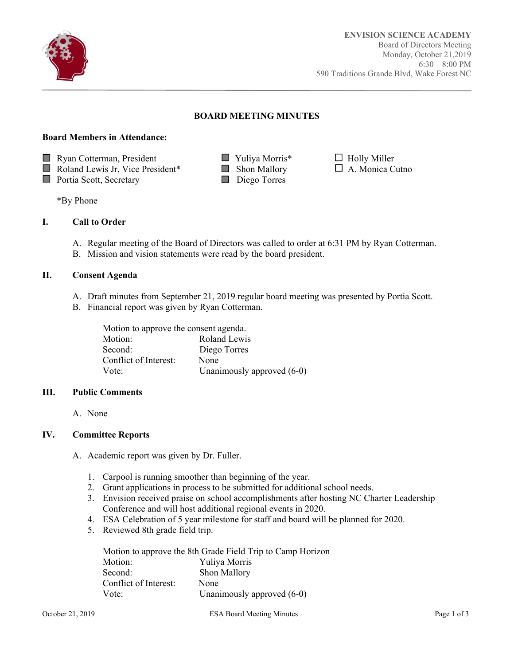

Ī

# **BOARD MEETING MINUTES**

#### **Board Members in Attendance:**

|                              | Ryan Cotterman, President              |  |  |
|------------------------------|----------------------------------------|--|--|
| $\blacksquare$ n 1 1 1 1 1 1 | $\mathbf{v}$ $\mathbf{v}$ $\mathbf{v}$ |  |  |

 $\Box$  Roland Lewis Jr, Vice President\*  $\Box$  Shon Mallory  $\Box$  A. Monica Cutno

- Portia Scott, Secretary Diego Torres
- 
- $\Box$  Yuliya Morris\*  $\Box$  Holly Miller

\*By Phone

## **I. Call to Order**

- A. Regular meeting of the Board of Directors was called to order at 6:31 PM by Ryan Cotterman.
- B. Mission and vision statements were read by the board president.

### **II. Consent Agenda**

- A. Draft minutes from September 21, 2019 regular board meeting was presented by Portia Scott.
- B. Financial report was given by Ryan Cotterman.

| Motion to approve the consent agenda. |                            |  |
|---------------------------------------|----------------------------|--|
| Motion:                               | Roland Lewis               |  |
| Second:                               | Diego Torres               |  |
| Conflict of Interest:                 | None                       |  |
| Vote:                                 | Unanimously approved (6-0) |  |

### **III. Public Comments**

A. None

### **IV. Committee Reports**

- A. Academic report was given by Dr. Fuller.
	- 1. Carpool is running smoother than beginning of the year.
	- 2. Grant applications in process to be submitted for additional school needs.
	- 3. Envision received praise on school accomplishments after hosting NC Charter Leadership Conference and will host additional regional events in 2020.
	- 4. ESA Celebration of 5 year milestone for staff and board will be planned for 2020.
	- 5. Reviewed 8th grade field trip.

|                       | Motion to approve the 8th Grade Field Trip to Camp Horizon |
|-----------------------|------------------------------------------------------------|
| Motion:               | Yuliya Morris                                              |
| Second:               | Shon Mallory                                               |
| Conflict of Interest: | None                                                       |
| Vote:                 | Unanimously approved $(6-0)$                               |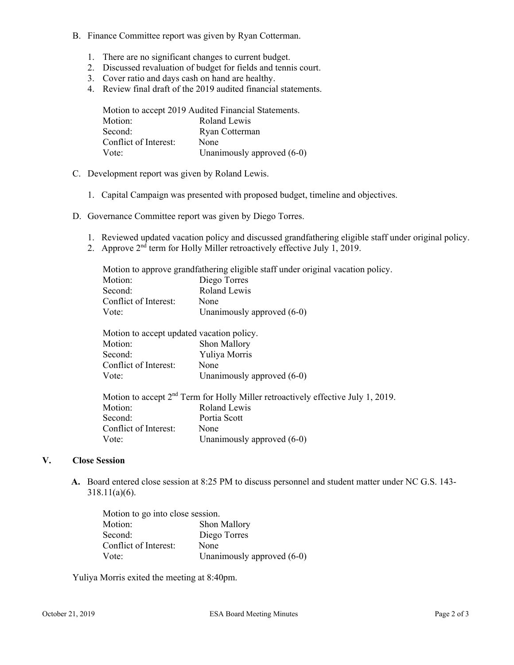- B. Finance Committee report was given by Ryan Cotterman.
	- 1. There are no significant changes to current budget.
	- 2. Discussed revaluation of budget for fields and tennis court.
	- 3. Cover ratio and days cash on hand are healthy.
	- 4. Review final draft of the 2019 audited financial statements.

| Motion to accept 2019 Audited Financial Statements. |                            |  |
|-----------------------------------------------------|----------------------------|--|
| Motion:                                             | Roland Lewis               |  |
| Second:                                             | Ryan Cotterman             |  |
| Conflict of Interest:                               | None                       |  |
| Vote:                                               | Unanimously approved (6-0) |  |

- C. Development report was given by Roland Lewis.
	- 1. Capital Campaign was presented with proposed budget, timeline and objectives.
- D. Governance Committee report was given by Diego Torres.
	- 1. Reviewed updated vacation policy and discussed grandfathering eligible staff under original policy.
	- 2. Approve  $2<sup>nd</sup>$  term for Holly Miller retroactively effective July 1, 2019.

|                                           | Motion to approve grandfathering eligible staff under original vacation policy.              |
|-------------------------------------------|----------------------------------------------------------------------------------------------|
| Motion:                                   | Diego Torres                                                                                 |
| Second:                                   | Roland Lewis                                                                                 |
| Conflict of Interest:                     | None                                                                                         |
| Vote:                                     | Unanimously approved (6-0)                                                                   |
| Motion to accept updated vacation policy. |                                                                                              |
| Motion:                                   | Shon Mallory                                                                                 |
| Second:                                   | Yuliya Morris                                                                                |
| Conflict of Interest:                     | None                                                                                         |
| Vote:                                     | Unanimously approved (6-0)                                                                   |
|                                           | Motion to accept 2 <sup>nd</sup> Term for Holly Miller retroactively effective July 1, 2019. |
| Motion:                                   | Roland Lewis                                                                                 |
| Second:                                   | Portia Scott                                                                                 |
| Conflict of Interest:                     | None                                                                                         |
| Vote:                                     | Unanimously approved (6-0)                                                                   |

### **V. Close Session**

 **A.** Board entered close session at 8:25 PM to discuss personnel and student matter under NC G.S. 143- 318.11(a)(6).

| Motion to go into close session. |                            |  |
|----------------------------------|----------------------------|--|
| Motion:                          | Shon Mallory               |  |
| Second:                          | Diego Torres               |  |
| Conflict of Interest:            | None                       |  |
| Vote:                            | Unanimously approved (6-0) |  |

Yuliya Morris exited the meeting at 8:40pm.